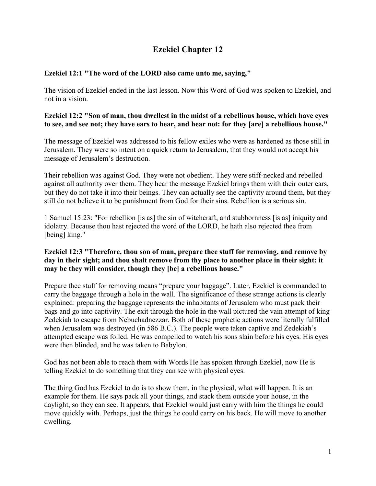# **Ezekiel Chapter 12**

# **Ezekiel 12:1 "The word of the LORD also came unto me, saying,"**

The vision of Ezekiel ended in the last lesson. Now this Word of God was spoken to Ezekiel, and not in a vision.

### **Ezekiel 12:2 "Son of man, thou dwellest in the midst of a rebellious house, which have eyes to see, and see not; they have ears to hear, and hear not: for they [are] a rebellious house."**

The message of Ezekiel was addressed to his fellow exiles who were as hardened as those still in Jerusalem. They were so intent on a quick return to Jerusalem, that they would not accept his message of Jerusalem's destruction.

Their rebellion was against God. They were not obedient. They were stiff-necked and rebelled against all authority over them. They hear the message Ezekiel brings them with their outer ears, but they do not take it into their beings. They can actually see the captivity around them, but they still do not believe it to be punishment from God for their sins. Rebellion is a serious sin.

1 Samuel 15:23: "For rebellion [is as] the sin of witchcraft, and stubbornness [is as] iniquity and idolatry. Because thou hast rejected the word of the LORD, he hath also rejected thee from [being] king."

### **Ezekiel 12:3 "Therefore, thou son of man, prepare thee stuff for removing, and remove by day in their sight; and thou shalt remove from thy place to another place in their sight: it may be they will consider, though they [be] a rebellious house."**

Prepare thee stuff for removing means "prepare your baggage". Later, Ezekiel is commanded to carry the baggage through a hole in the wall. The significance of these strange actions is clearly explained: preparing the baggage represents the inhabitants of Jerusalem who must pack their bags and go into captivity. The exit through the hole in the wall pictured the vain attempt of king Zedekiah to escape from Nebuchadnezzar. Both of these prophetic actions were literally fulfilled when Jerusalem was destroyed (in 586 B.C.). The people were taken captive and Zedekiah's attempted escape was foiled. He was compelled to watch his sons slain before his eyes. His eyes were then blinded, and he was taken to Babylon.

God has not been able to reach them with Words He has spoken through Ezekiel, now He is telling Ezekiel to do something that they can see with physical eyes.

The thing God has Ezekiel to do is to show them, in the physical, what will happen. It is an example for them. He says pack all your things, and stack them outside your house, in the daylight, so they can see. It appears, that Ezekiel would just carry with him the things he could move quickly with. Perhaps, just the things he could carry on his back. He will move to another dwelling.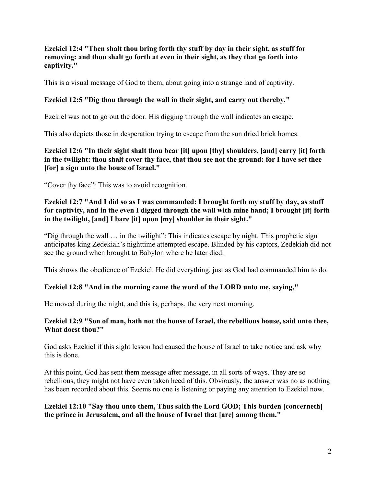#### **Ezekiel 12:4 "Then shalt thou bring forth thy stuff by day in their sight, as stuff for removing: and thou shalt go forth at even in their sight, as they that go forth into captivity."**

This is a visual message of God to them, about going into a strange land of captivity.

# **Ezekiel 12:5 "Dig thou through the wall in their sight, and carry out thereby."**

Ezekiel was not to go out the door. His digging through the wall indicates an escape.

This also depicts those in desperation trying to escape from the sun dried brick homes.

### **Ezekiel 12:6 "In their sight shalt thou bear [it] upon [thy] shoulders, [and] carry [it] forth in the twilight: thou shalt cover thy face, that thou see not the ground: for I have set thee [for] a sign unto the house of Israel."**

"Cover thy face": This was to avoid recognition.

# **Ezekiel 12:7 "And I did so as I was commanded: I brought forth my stuff by day, as stuff for captivity, and in the even I digged through the wall with mine hand; I brought [it] forth in the twilight, [and] I bare [it] upon [my] shoulder in their sight."**

"Dig through the wall … in the twilight": This indicates escape by night. This prophetic sign anticipates king Zedekiah's nighttime attempted escape. Blinded by his captors, Zedekiah did not see the ground when brought to Babylon where he later died.

This shows the obedience of Ezekiel. He did everything, just as God had commanded him to do.

### **Ezekiel 12:8 "And in the morning came the word of the LORD unto me, saying,"**

He moved during the night, and this is, perhaps, the very next morning.

#### **Ezekiel 12:9 "Son of man, hath not the house of Israel, the rebellious house, said unto thee, What doest thou?"**

God asks Ezekiel if this sight lesson had caused the house of Israel to take notice and ask why this is done.

At this point, God has sent them message after message, in all sorts of ways. They are so rebellious, they might not have even taken heed of this. Obviously, the answer was no as nothing has been recorded about this. Seems no one is listening or paying any attention to Ezekiel now.

### **Ezekiel 12:10 "Say thou unto them, Thus saith the Lord GOD; This burden [concerneth] the prince in Jerusalem, and all the house of Israel that [are] among them."**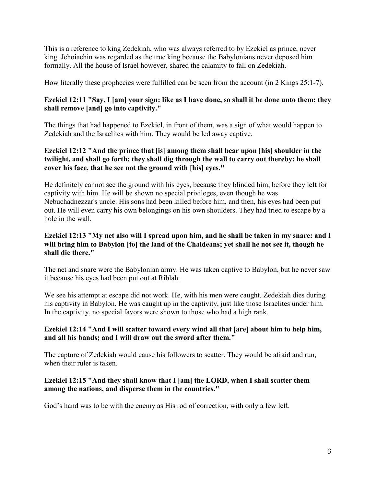This is a reference to king Zedekiah, who was always referred to by Ezekiel as prince, never king. Jehoiachin was regarded as the true king because the Babylonians never deposed him formally. All the house of Israel however, shared the calamity to fall on Zedekiah.

How literally these prophecies were fulfilled can be seen from the account (in 2 Kings 25:1-7).

# **Ezekiel 12:11 "Say, I [am] your sign: like as I have done, so shall it be done unto them: they shall remove [and] go into captivity."**

The things that had happened to Ezekiel, in front of them, was a sign of what would happen to Zedekiah and the Israelites with him. They would be led away captive.

# **Ezekiel 12:12 "And the prince that [is] among them shall bear upon [his] shoulder in the twilight, and shall go forth: they shall dig through the wall to carry out thereby: he shall cover his face, that he see not the ground with [his] eyes."**

He definitely cannot see the ground with his eyes, because they blinded him, before they left for captivity with him. He will be shown no special privileges, even though he was Nebuchadnezzar's uncle. His sons had been killed before him, and then, his eyes had been put out. He will even carry his own belongings on his own shoulders. They had tried to escape by a hole in the wall.

# **Ezekiel 12:13 "My net also will I spread upon him, and he shall be taken in my snare: and I will bring him to Babylon [to] the land of the Chaldeans; yet shall he not see it, though he shall die there."**

The net and snare were the Babylonian army. He was taken captive to Babylon, but he never saw it because his eyes had been put out at Riblah.

We see his attempt at escape did not work. He, with his men were caught. Zedekiah dies during his captivity in Babylon. He was caught up in the captivity, just like those Israelites under him. In the captivity, no special favors were shown to those who had a high rank.

# **Ezekiel 12:14 "And I will scatter toward every wind all that [are] about him to help him, and all his bands; and I will draw out the sword after them."**

The capture of Zedekiah would cause his followers to scatter. They would be afraid and run, when their ruler is taken.

# **Ezekiel 12:15 "And they shall know that I [am] the LORD, when I shall scatter them among the nations, and disperse them in the countries."**

God's hand was to be with the enemy as His rod of correction, with only a few left.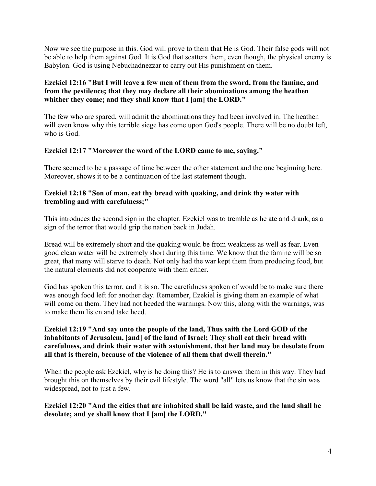Now we see the purpose in this. God will prove to them that He is God. Their false gods will not be able to help them against God. It is God that scatters them, even though, the physical enemy is Babylon. God is using Nebuchadnezzar to carry out His punishment on them.

# **Ezekiel 12:16 "But I will leave a few men of them from the sword, from the famine, and from the pestilence; that they may declare all their abominations among the heathen whither they come; and they shall know that I [am] the LORD."**

The few who are spared, will admit the abominations they had been involved in. The heathen will even know why this terrible siege has come upon God's people. There will be no doubt left, who is God.

### **Ezekiel 12:17 "Moreover the word of the LORD came to me, saying,"**

There seemed to be a passage of time between the other statement and the one beginning here. Moreover, shows it to be a continuation of the last statement though.

#### **Ezekiel 12:18 "Son of man, eat thy bread with quaking, and drink thy water with trembling and with carefulness;"**

This introduces the second sign in the chapter. Ezekiel was to tremble as he ate and drank, as a sign of the terror that would grip the nation back in Judah.

Bread will be extremely short and the quaking would be from weakness as well as fear. Even good clean water will be extremely short during this time. We know that the famine will be so great, that many will starve to death. Not only had the war kept them from producing food, but the natural elements did not cooperate with them either.

God has spoken this terror, and it is so. The carefulness spoken of would be to make sure there was enough food left for another day. Remember, Ezekiel is giving them an example of what will come on them. They had not heeded the warnings. Now this, along with the warnings, was to make them listen and take heed.

#### **Ezekiel 12:19 "And say unto the people of the land, Thus saith the Lord GOD of the inhabitants of Jerusalem, [and] of the land of Israel; They shall eat their bread with carefulness, and drink their water with astonishment, that her land may be desolate from all that is therein, because of the violence of all them that dwell therein."**

When the people ask Ezekiel, why is he doing this? He is to answer them in this way. They had brought this on themselves by their evil lifestyle. The word "all" lets us know that the sin was widespread, not to just a few.

### **Ezekiel 12:20 "And the cities that are inhabited shall be laid waste, and the land shall be desolate; and ye shall know that I [am] the LORD."**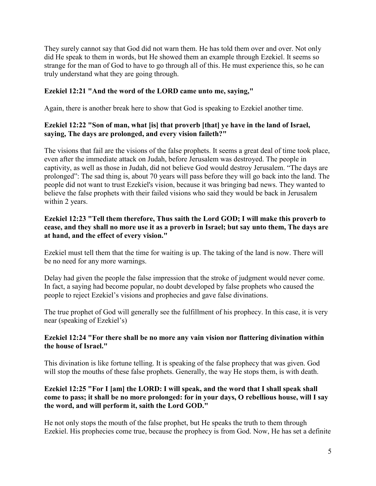They surely cannot say that God did not warn them. He has told them over and over. Not only did He speak to them in words, but He showed them an example through Ezekiel. It seems so strange for the man of God to have to go through all of this. He must experience this, so he can truly understand what they are going through.

# **Ezekiel 12:21 "And the word of the LORD came unto me, saying,"**

Again, there is another break here to show that God is speaking to Ezekiel another time.

# **Ezekiel 12:22 "Son of man, what [is] that proverb [that] ye have in the land of Israel, saying, The days are prolonged, and every vision faileth?"**

The visions that fail are the visions of the false prophets. It seems a great deal of time took place, even after the immediate attack on Judah, before Jerusalem was destroyed. The people in captivity, as well as those in Judah, did not believe God would destroy Jerusalem. "The days are prolonged": The sad thing is, about 70 years will pass before they will go back into the land. The people did not want to trust Ezekiel's vision, because it was bringing bad news. They wanted to believe the false prophets with their failed visions who said they would be back in Jerusalem within 2 years.

# **Ezekiel 12:23 "Tell them therefore, Thus saith the Lord GOD; I will make this proverb to cease, and they shall no more use it as a proverb in Israel; but say unto them, The days are at hand, and the effect of every vision."**

Ezekiel must tell them that the time for waiting is up. The taking of the land is now. There will be no need for any more warnings.

Delay had given the people the false impression that the stroke of judgment would never come. In fact, a saying had become popular, no doubt developed by false prophets who caused the people to reject Ezekiel's visions and prophecies and gave false divinations.

The true prophet of God will generally see the fulfillment of his prophecy. In this case, it is very near (speaking of Ezekiel's)

### **Ezekiel 12:24 "For there shall be no more any vain vision nor flattering divination within the house of Israel."**

This divination is like fortune telling. It is speaking of the false prophecy that was given. God will stop the mouths of these false prophets. Generally, the way He stops them, is with death.

### **Ezekiel 12:25 "For I [am] the LORD: I will speak, and the word that I shall speak shall come to pass; it shall be no more prolonged: for in your days, O rebellious house, will I say the word, and will perform it, saith the Lord GOD."**

He not only stops the mouth of the false prophet, but He speaks the truth to them through Ezekiel. His prophecies come true, because the prophecy is from God. Now, He has set a definite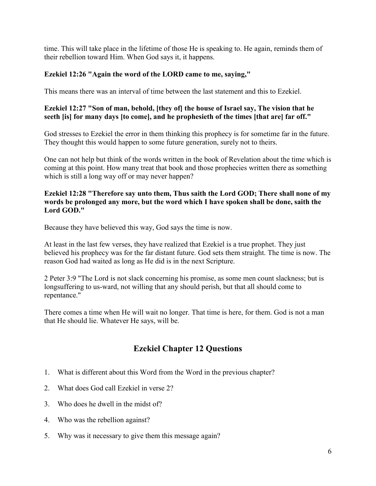time. This will take place in the lifetime of those He is speaking to. He again, reminds them of their rebellion toward Him. When God says it, it happens.

# **Ezekiel 12:26 "Again the word of the LORD came to me, saying,"**

This means there was an interval of time between the last statement and this to Ezekiel.

#### **Ezekiel 12:27 "Son of man, behold, [they of] the house of Israel say, The vision that he seeth [is] for many days [to come], and he prophesieth of the times [that are] far off."**

God stresses to Ezekiel the error in them thinking this prophecy is for sometime far in the future. They thought this would happen to some future generation, surely not to theirs.

One can not help but think of the words written in the book of Revelation about the time which is coming at this point. How many treat that book and those prophecies written there as something which is still a long way off or may never happen?

#### **Ezekiel 12:28 "Therefore say unto them, Thus saith the Lord GOD; There shall none of my words be prolonged any more, but the word which I have spoken shall be done, saith the Lord GOD."**

Because they have believed this way, God says the time is now.

At least in the last few verses, they have realized that Ezekiel is a true prophet. They just believed his prophecy was for the far distant future. God sets them straight. The time is now. The reason God had waited as long as He did is in the next Scripture.

2 Peter 3:9 "The Lord is not slack concerning his promise, as some men count slackness; but is longsuffering to us-ward, not willing that any should perish, but that all should come to repentance."

There comes a time when He will wait no longer. That time is here, for them. God is not a man that He should lie. Whatever He says, will be.

# **Ezekiel Chapter 12 Questions**

- 1. What is different about this Word from the Word in the previous chapter?
- 2. What does God call Ezekiel in verse 2?
- 3. Who does he dwell in the midst of?
- 4. Who was the rebellion against?
- 5. Why was it necessary to give them this message again?